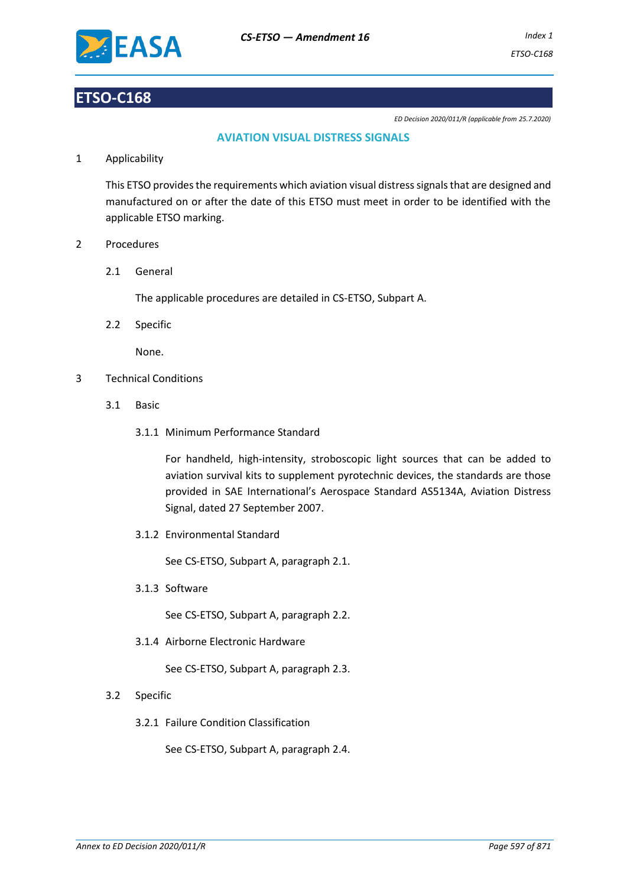

# **ETSO-C168**

*ED Decision 2020/011/R (applicable from 25.7.2020)*

# **AVIATION VISUAL DISTRESS SIGNALS**

1 Applicability

This ETSO provides the requirements which aviation visual distress signals that are designed and manufactured on or after the date of this ETSO must meet in order to be identified with the applicable ETSO marking.

- 2 Procedures
	- 2.1 General

The applicable procedures are detailed in CS-ETSO, Subpart A.

2.2 Specific

None.

- 3 Technical Conditions
	- 3.1 Basic
		- 3.1.1 Minimum Performance Standard

For handheld, high-intensity, stroboscopic light sources that can be added to aviation survival kits to supplement pyrotechnic devices, the standards are those provided in SAE International's Aerospace Standard AS5134A, Aviation Distress Signal, dated 27 September 2007.

3.1.2 Environmental Standard

See CS-ETSO, Subpart A, paragraph 2.1.

3.1.3 Software

See CS-ETSO, Subpart A, paragraph 2.2.

3.1.4 Airborne Electronic Hardware

See CS-ETSO, Subpart A, paragraph 2.3.

- 3.2 Specific
	- 3.2.1 Failure Condition Classification

See CS-ETSO, Subpart A, paragraph 2.4.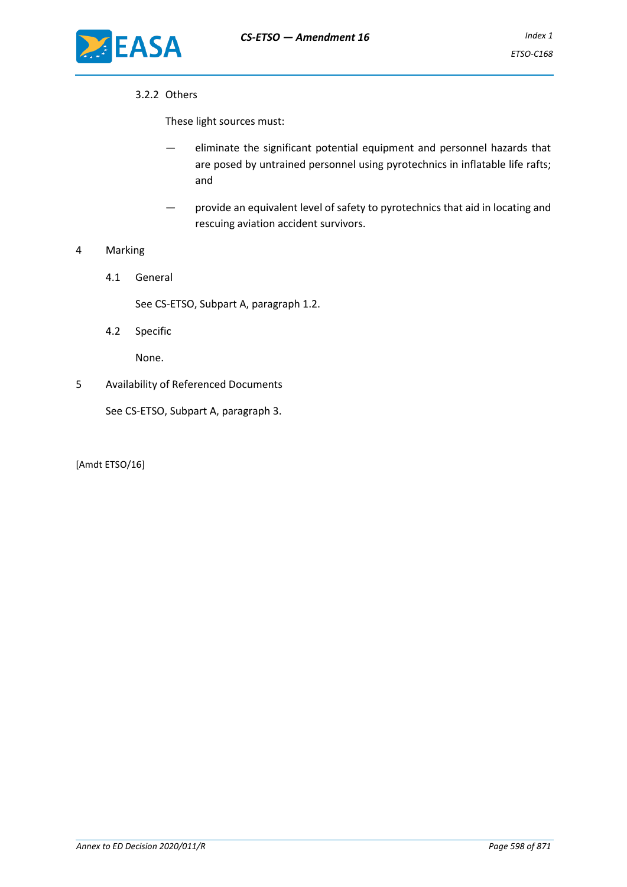

## 3.2.2 Others

These light sources must:

- eliminate the significant potential equipment and personnel hazards that are posed by untrained personnel using pyrotechnics in inflatable life rafts; and
- provide an equivalent level of safety to pyrotechnics that aid in locating and rescuing aviation accident survivors.

## 4 Marking

4.1 General

See CS-ETSO, Subpart A, paragraph 1.2.

4.2 Specific

None.

5 Availability of Referenced Documents

See CS-ETSO, Subpart A, paragraph 3.

[Amdt ETSO/16]